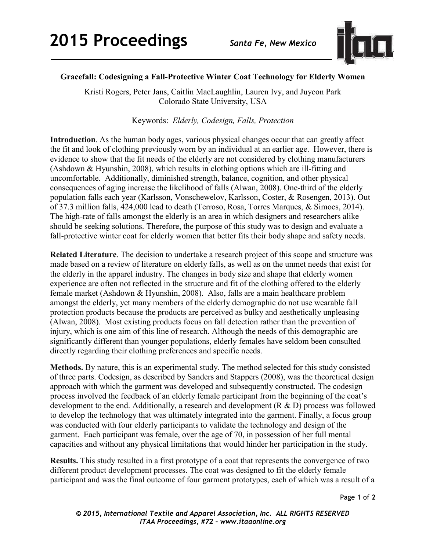

## **Gracefall: Codesigning a Fall-Protective Winter Coat Technology for Elderly Women**

Kristi Rogers, Peter Jans, Caitlin MacLaughlin, Lauren Ivy, and Juyeon Park Colorado State University, USA

Keywords: *Elderly, Codesign, Falls, Protection* 

**Introduction**. As the human body ages, various physical changes occur that can greatly affect the fit and look of clothing previously worn by an individual at an earlier age. However, there is evidence to show that the fit needs of the elderly are not considered by clothing manufacturers (Ashdown & Hyunshin, 2008), which results in clothing options which are ill-fitting and uncomfortable. Additionally, diminished strength, balance, cognition, and other physical consequences of aging increase the likelihood of falls (Alwan, 2008). One-third of the elderly population falls each year (Karlsson, Vonschewelov, Karlsson, Coster, & Rosengen, 2013). Out of 37.3 million falls, 424,000 lead to death (Terroso, Rosa, Torres Marques, & Simoes, 2014). The high-rate of falls amongst the elderly is an area in which designers and researchers alike should be seeking solutions. Therefore, the purpose of this study was to design and evaluate a fall-protective winter coat for elderly women that better fits their body shape and safety needs.

**Related Literature**. The decision to undertake a research project of this scope and structure was made based on a review of literature on elderly falls, as well as on the unmet needs that exist for the elderly in the apparel industry. The changes in body size and shape that elderly women experience are often not reflected in the structure and fit of the clothing offered to the elderly female market (Ashdown & Hyunshin, 2008). Also, falls are a main healthcare problem amongst the elderly, yet many members of the elderly demographic do not use wearable fall protection products because the products are perceived as bulky and aesthetically unpleasing (Alwan, 2008). Most existing products focus on fall detection rather than the prevention of injury, which is one aim of this line of research. Although the needs of this demographic are significantly different than younger populations, elderly females have seldom been consulted directly regarding their clothing preferences and specific needs.

**Methods.** By nature, this is an experimental study. The method selected for this study consisted of three parts. Codesign, as described by Sanders and Stappers (2008), was the theoretical design approach with which the garment was developed and subsequently constructed. The codesign process involved the feedback of an elderly female participant from the beginning of the coat's development to the end. Additionally, a research and development (R & D) process was followed to develop the technology that was ultimately integrated into the garment. Finally, a focus group was conducted with four elderly participants to validate the technology and design of the garment. Each participant was female, over the age of 70, in possession of her full mental capacities and without any physical limitations that would hinder her participation in the study.

**Results.** This study resulted in a first prototype of a coat that represents the convergence of two different product development processes. The coat was designed to fit the elderly female participant and was the final outcome of four garment prototypes, each of which was a result of a